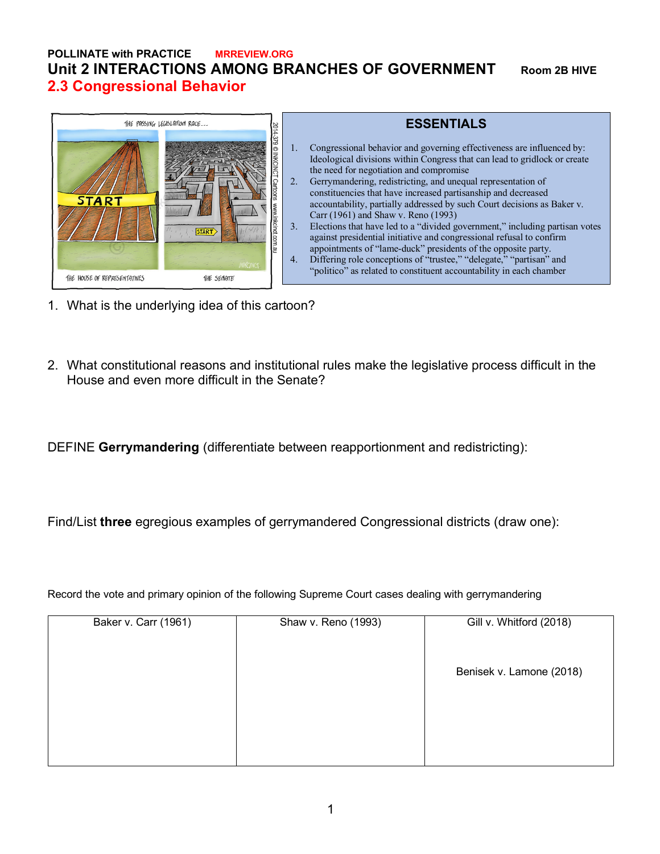## **POLLINATE with PRACTICE MRREVIEW.ORG** Unit 2 **INTERACTIONS AMONG BRANCHES OF GOVERNMENT** Room 2B HIVE **2.3 Congressional Behavior**



|         | <b>ESSENTIALS</b>                                                                                                                                                                                                                               |
|---------|-------------------------------------------------------------------------------------------------------------------------------------------------------------------------------------------------------------------------------------------------|
| $1_{-}$ | Congressional behavior and governing effectiveness are influenced by:<br>Ideological divisions within Congress that can lead to gridlock or create<br>the need for negotiation and compromise                                                   |
| 2.      | Gerrymandering, redistricting, and unequal representation of<br>constituencies that have increased partisanship and decreased<br>accountability, partially addressed by such Court decisions as Baker v.<br>Carr (1961) and Shaw v. Reno (1993) |
| 3.      | Elections that have led to a "divided government," including partisan votes<br>against presidential initiative and congressional refusal to confirm<br>appointments of "lame-duck" presidents of the opposite party.                            |
| 4.      | Differing role conceptions of "trustee," "delegate," "partisan" and<br>"politico" as related to constituent accountability in each chamber                                                                                                      |

- 1. What is the underlying idea of this cartoon?
- 2. What constitutional reasons and institutional rules make the legislative process difficult in the House and even more difficult in the Senate?

DEFINE **Gerrymandering** (differentiate between reapportionment and redistricting):

Find/List **three** egregious examples of gerrymandered Congressional districts (draw one):

Record the vote and primary opinion of the following Supreme Court cases dealing with gerrymandering

| Baker v. Carr (1961) | Shaw v. Reno (1993) | Gill v. Whitford (2018)  |
|----------------------|---------------------|--------------------------|
|                      |                     | Benisek v. Lamone (2018) |
|                      |                     |                          |